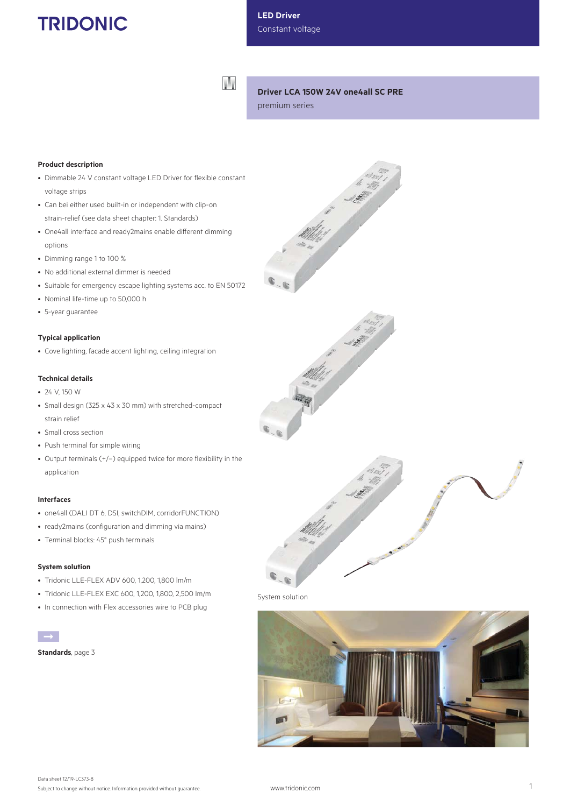# **TRIDONIC**

**LED Driver** Constant voltage

W

# **Driver LCA 150W 24V one4all SC PRE**

premium series

## **Product description**

- Dimmable 24 V constant voltage LED Driver for flexible constant voltage strips
- Can bei either used built-in or independent with clip-on strain-relief (see data sheet chapter: 1. Standards)
- One4all interface and ready2mains enable different dimming options
- Dimming range 1 to 100 %
- No additional external dimmer is needed
- Suitable for emergency escape lighting systems acc. to EN 50172
- Nominal life-time up to 50,000 h
- 5-year guarantee

#### **Typical application**

• Cove lighting, facade accent lighting, ceiling integration

# **Technical details**

- 24 V, 150 W
- Small design (325 x 43 x 30 mm) with stretched-compact strain relief
- Small cross section
- Push terminal for simple wiring
- Output terminals (+/–) equipped twice for more flexibility in the application

#### **Interfaces**

- one4all (DALI DT 6, DSI, switchDIM, corridorFUNCTION)
- ready2mains (configuration and dimming via mains)
- Terminal blocks: 45° push terminals

#### **System solution**

- Tridonic LLE-FLEX ADV 600, 1,200, 1,800 lm/m
- Tridonic LLE-FLEX EXC 600, 1,200, 1,800, 2,500 lm/m
- In connection with Flex accessories wire to PCB plug

**Standards**, page 3







System solution

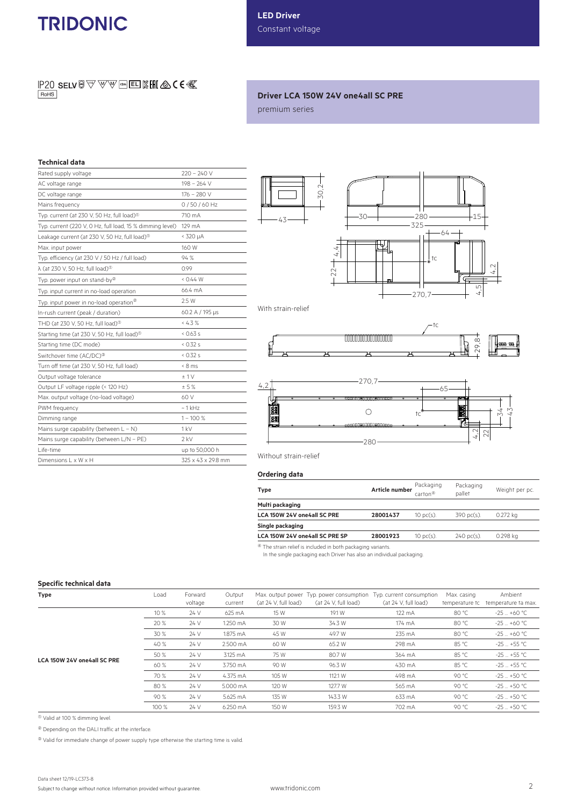# **TRIDONIC**

**IP20 SELV**  $\textcircled{F}$  $\textcircled{F}$  $\textcircled{F}$  $\textcircled{F}$  $\textcircled{F}$  $\textcircled{F}$  $\textcircled{F}$  $\textcircled{F}$  $\textcircled{F}$  $\textcircled{F}$  $\textcircled{F}$  $\textcircled{F}$  $\textcircled{F}$  $\textcircled{F}$  $\textcircled{F}$  $\textcircled{F}$  $\textcircled{F}$  $\textcircled{F}$  $\textcircled{F}$  $\textcircled{F}$  $\textcircled{F}$  $RoHS$ 

# **Driver LCA 150W 24V one4all SC PRE**

premium series

# **Technical data**

| Rated supply voltage                                                     | $220 - 240V$       |
|--------------------------------------------------------------------------|--------------------|
| AC voltage range                                                         | $198 - 264$ V      |
| DC voltage range                                                         | $176 - 280$ V      |
| Mains frequency                                                          | $0/50/60$ Hz       |
| Typ. current (at 230 V, 50 Hz, full load) $\textcircled{\scriptsize{1}}$ | 710 mA             |
| Typ. current (220 V, 0 Hz, full load, 15 % dimming level)                | 129 mA             |
| Leakage current (at 230 V, 50 Hz, full load) $^{\circ}$                  | $<$ 320 $\mu$ A    |
| Max. input power                                                         | 160 W              |
| Typ. efficiency (at 230 V / 50 Hz / full load)                           | 94 %               |
| $\lambda$ (at 230 V, 50 Hz, full load) <sup>®</sup>                      | 0.99               |
| Typ. power input on stand-by <sup>(2)</sup>                              | 0.44 W             |
| Typ. input current in no-load operation                                  | 66.4 mA            |
| Typ. input power in no-load operation <sup>®</sup>                       | 2.5 W              |
| In-rush current (peak / duration)                                        | 60.2 A / 195 µs    |
| THD (at 230 V, 50 Hz, full load) <sup>®</sup>                            | $< 4.3 \%$         |
| Starting time (at 230 V, 50 Hz, full load) <sup>10</sup>                 | 0.63 s             |
| Starting time (DC mode)                                                  | 0.32 s             |
| Switchover time (AC/DC) <sup>®</sup>                                     | 0.32 s             |
| Turn off time (at 230 V, 50 Hz, full load)                               | $< 8$ ms           |
| Output voltage tolerance                                                 | ±1V                |
| Output LF voltage ripple (< 120 Hz)                                      | ± 5%               |
| Max. output voltage (no-load voltage)                                    | 60 V               |
| PWM frequency                                                            | $\sim$ 1 kHz       |
| Dimming range                                                            | $1 - 100 %$        |
| Mains surge capability (between $L - N$ )                                | 1 kV               |
| Mains surge capability (between L/N - PE)                                | $2$ kV             |
| Life-time                                                                | up to 50,000 h     |
| Dimensions L x W x H                                                     | 325 x 43 x 29.8 mm |
|                                                                          |                    |



With strain-relief



Without strain-relief

## **Ordering data**

| Type                           | Article number | Packaging<br>carton <sup>④</sup> | Packaging<br>pallet   | Weight per pc. |
|--------------------------------|----------------|----------------------------------|-----------------------|----------------|
| Multi packaging                |                |                                  |                       |                |
| LCA 150W 24V one4all SC PRE    | 28001437       | $10 \text{ pc(s)}$ .             | 390 pc(s).            | 0.272 kg       |
| Single packaging               |                |                                  |                       |                |
| LCA 150W 24V one4all SC PRE SP | 28001923       | $10$ pc(s).                      | $240 \text{ pc(s)}$ . | 0.298 kg       |

 $\overline{\textcircled{\tiny{4}}}$  The strain relief is included in both packaging variants.

In the single packaging each Driver has also an individual packaging.

#### **Specific technical data**

| <b>Type</b>                 | Load  | Forward<br>voltage | Output<br>current | (at 24 V, full load) | Max. output power Typ. power consumption<br>(at 24 V, full load) | Typ. current consumption<br>(at 24 V, full load) | Max. casing<br>temperature tc | Ambient<br>temperature ta max. |
|-----------------------------|-------|--------------------|-------------------|----------------------|------------------------------------------------------------------|--------------------------------------------------|-------------------------------|--------------------------------|
|                             | 10 %  | 24 V               | 625 mA            | 15 W                 | 19.1 W                                                           | 122 mA                                           | 80 °C                         | $-25 - +60 °C$                 |
| LCA 150W 24V one4all SC PRE | 20 %  | 24 V               | 1.250 mA          | 30 W                 | 34.3 W                                                           | 174 mA                                           | 80 °C                         | $-25 - +60 °C$                 |
|                             | 30 %  | 24 V               | 1.875 mA          | 45 W                 | 49.7 W                                                           | 235 mA                                           | 80 °C                         | $-25 - +60 °C$                 |
|                             | 40 %  | 24 V               | 2.500 mA          | 60 W                 | 65.2 W                                                           | 298 mA                                           | 85 °C                         | $-25 - +55$ °C                 |
|                             | 50 %  | 24 V               | 3.125 mA          | 75 W                 | 80.7 W                                                           | 364 mA                                           | 85 °C                         | $-25 - +55$ °C                 |
|                             | 60 %  | 24 V               | 3.750 mA          | 90 W                 | 96.3 W                                                           | 430 mA                                           | 85 °C                         | $-25 - +55$ °C                 |
|                             | 70 %  | 24 V               | 4.375 mA          | 105 W                | 112.1 W                                                          | 498 mA                                           | 90 °C                         | $-25 - +50$ °C                 |
|                             | 80 %  | 24 V               | 5.000 mA          | 120 W                | 127.7 W                                                          | 565 mA                                           | 90 °C                         | $-25 - +50$ °C                 |
|                             | 90 %  | 24 V               | 5.625 mA          | 135 W                | 143.3 W                                                          | 633 mA                                           | 90 °C                         | $-25 - +50$ °C                 |
|                             | 100 % | 24 V               | 6.250 mA          | 150 W                | 159.3 W                                                          | 702 mA                                           | 90 °C                         | $-25 - +50$ °C                 |

 $0$  Valid at 100 % dimming level.

2 Depending on the DALI traffic at the interface.

 $\textcircled{\tiny 3}$  Valid for immediate change of power supply type otherwise the starting time is valid.